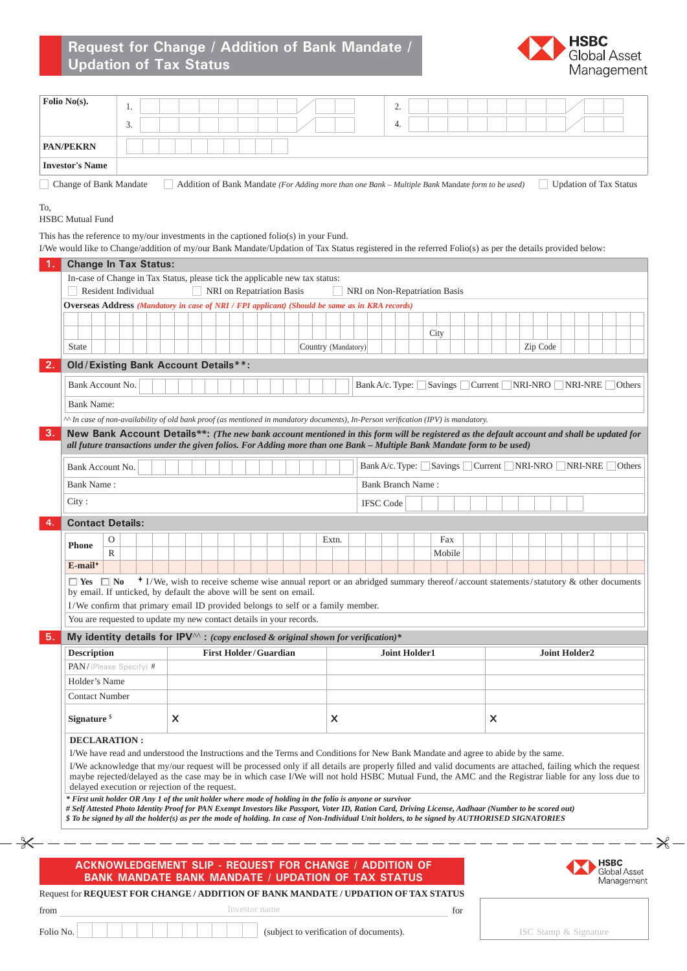

| <b>PAN/PEKRN</b>                                                                                                                                                                                                                                                                               | 3. |                           |                                                                                                  |                              |  |                     |       | 4.                       |                      |                               |                           |          |                      |  |                                                                                                                                 |
|------------------------------------------------------------------------------------------------------------------------------------------------------------------------------------------------------------------------------------------------------------------------------------------------|----|---------------------------|--------------------------------------------------------------------------------------------------|------------------------------|--|---------------------|-------|--------------------------|----------------------|-------------------------------|---------------------------|----------|----------------------|--|---------------------------------------------------------------------------------------------------------------------------------|
|                                                                                                                                                                                                                                                                                                |    |                           |                                                                                                  |                              |  |                     |       |                          |                      |                               |                           |          |                      |  |                                                                                                                                 |
| <b>Investor's Name</b>                                                                                                                                                                                                                                                                         |    |                           |                                                                                                  |                              |  |                     |       |                          |                      |                               |                           |          |                      |  |                                                                                                                                 |
| Change of Bank Mandate                                                                                                                                                                                                                                                                         |    |                           | Addition of Bank Mandate (For Adding more than one Bank – Multiple Bank Mandate form to be used) |                              |  |                     |       |                          |                      |                               |                           |          |                      |  | <b>Updation of Tax Status</b>                                                                                                   |
|                                                                                                                                                                                                                                                                                                |    |                           |                                                                                                  |                              |  |                     |       |                          |                      |                               |                           |          |                      |  |                                                                                                                                 |
| To,<br><b>HSBC</b> Mutual Fund                                                                                                                                                                                                                                                                 |    |                           |                                                                                                  |                              |  |                     |       |                          |                      |                               |                           |          |                      |  |                                                                                                                                 |
| This has the reference to my/our investments in the captioned folio(s) in your Fund.                                                                                                                                                                                                           |    |                           |                                                                                                  |                              |  |                     |       |                          |                      |                               |                           |          |                      |  |                                                                                                                                 |
| I/We would like to Change/addition of my/our Bank Mandate/Updation of Tax Status registered in the referred Folio(s) as per the details provided below:                                                                                                                                        |    |                           |                                                                                                  |                              |  |                     |       |                          |                      |                               |                           |          |                      |  |                                                                                                                                 |
| <b>Change In Tax Status:</b>                                                                                                                                                                                                                                                                   |    |                           |                                                                                                  |                              |  |                     |       |                          |                      |                               |                           |          |                      |  |                                                                                                                                 |
| In-case of Change in Tax Status, please tick the applicable new tax status:                                                                                                                                                                                                                    |    |                           |                                                                                                  |                              |  |                     |       |                          |                      |                               |                           |          |                      |  |                                                                                                                                 |
| Resident Individual                                                                                                                                                                                                                                                                            |    |                           |                                                                                                  | NRI on Repatriation Basis    |  |                     |       |                          |                      | NRI on Non-Repatriation Basis |                           |          |                      |  |                                                                                                                                 |
| <b>Overseas Address (Mandatory in case of NRI / FPI applicant) (Should be same as in KRA records)</b>                                                                                                                                                                                          |    |                           |                                                                                                  |                              |  |                     |       |                          |                      |                               |                           |          |                      |  |                                                                                                                                 |
|                                                                                                                                                                                                                                                                                                |    |                           |                                                                                                  |                              |  |                     |       |                          |                      |                               |                           |          |                      |  |                                                                                                                                 |
| <b>State</b>                                                                                                                                                                                                                                                                                   |    |                           |                                                                                                  |                              |  |                     |       |                          |                      | City                          |                           | Zip Code |                      |  |                                                                                                                                 |
|                                                                                                                                                                                                                                                                                                |    |                           |                                                                                                  |                              |  | Country (Mandatory) |       |                          |                      |                               |                           |          |                      |  |                                                                                                                                 |
| Old / Existing Bank Account Details**:<br>2.                                                                                                                                                                                                                                                   |    |                           |                                                                                                  |                              |  |                     |       |                          |                      |                               |                           |          |                      |  |                                                                                                                                 |
| Bank Account No.                                                                                                                                                                                                                                                                               |    |                           |                                                                                                  |                              |  |                     |       |                          |                      |                               |                           |          |                      |  | Bank A/c. Type: Savings Current NRI-NRO NRI-NRE Others                                                                          |
| <b>Bank Name:</b>                                                                                                                                                                                                                                                                              |    |                           |                                                                                                  |                              |  |                     |       |                          |                      |                               |                           |          |                      |  |                                                                                                                                 |
| $\sim$ In case of non-availability of old bank proof (as mentioned in mandatory documents), In-Person verification (IPV) is mandatory.                                                                                                                                                         |    |                           |                                                                                                  |                              |  |                     |       |                          |                      |                               |                           |          |                      |  |                                                                                                                                 |
| 3.<br>New Bank Account Details**: (The new bank account mentioned in this form will be registered as the default account and shall be updated for                                                                                                                                              |    |                           |                                                                                                  |                              |  |                     |       |                          |                      |                               |                           |          |                      |  |                                                                                                                                 |
| all future transactions under the given folios. For Adding more than one Bank - Multiple Bank Mandate form to be used)                                                                                                                                                                         |    |                           |                                                                                                  |                              |  |                     |       |                          |                      |                               |                           |          |                      |  |                                                                                                                                 |
| Bank Account No.                                                                                                                                                                                                                                                                               |    |                           |                                                                                                  |                              |  |                     |       |                          |                      |                               |                           |          |                      |  | Bank A/c. Type: Savings Current NRI-NRO NRI-NRE Others                                                                          |
| Bank Name:                                                                                                                                                                                                                                                                                     |    |                           |                                                                                                  |                              |  |                     |       | <b>Bank Branch Name:</b> |                      |                               |                           |          |                      |  |                                                                                                                                 |
| City:                                                                                                                                                                                                                                                                                          |    |                           |                                                                                                  |                              |  |                     |       |                          |                      |                               |                           |          |                      |  |                                                                                                                                 |
|                                                                                                                                                                                                                                                                                                |    |                           |                                                                                                  |                              |  |                     |       | <b>IFSC</b> Code         |                      |                               |                           |          |                      |  |                                                                                                                                 |
| <b>Contact Details:</b><br>4.                                                                                                                                                                                                                                                                  |    |                           |                                                                                                  |                              |  |                     |       |                          |                      |                               |                           |          |                      |  |                                                                                                                                 |
| $\mathcal{O}$<br><b>Phone</b>                                                                                                                                                                                                                                                                  |    |                           |                                                                                                  |                              |  |                     | Extn. |                          |                      | Fax                           |                           |          |                      |  |                                                                                                                                 |
| R<br>$E$ -mail <sup>+</sup>                                                                                                                                                                                                                                                                    |    |                           |                                                                                                  |                              |  |                     |       |                          |                      | Mobile                        |                           |          |                      |  |                                                                                                                                 |
|                                                                                                                                                                                                                                                                                                |    |                           |                                                                                                  |                              |  |                     |       |                          |                      |                               |                           |          |                      |  | + I/We, wish to receive scheme wise annual report or an abridged summary thereof/account statements/statutory & other documents |
|                                                                                                                                                                                                                                                                                                |    |                           |                                                                                                  |                              |  |                     |       |                          |                      |                               |                           |          |                      |  |                                                                                                                                 |
| $\Box$ Yes $\Box$ No<br>by email. If unticked, by default the above will be sent on email.                                                                                                                                                                                                     |    |                           |                                                                                                  |                              |  |                     |       |                          |                      |                               |                           |          |                      |  |                                                                                                                                 |
| I/We confirm that primary email ID provided belongs to self or a family member.                                                                                                                                                                                                                |    |                           |                                                                                                  |                              |  |                     |       |                          |                      |                               |                           |          |                      |  |                                                                                                                                 |
| You are requested to update my new contact details in your records.                                                                                                                                                                                                                            |    |                           |                                                                                                  |                              |  |                     |       |                          |                      |                               |                           |          |                      |  |                                                                                                                                 |
| My identity details for IPV $\wedge$ : (copy enclosed & original shown for verification)*<br>5.                                                                                                                                                                                                |    |                           |                                                                                                  |                              |  |                     |       |                          | <b>Joint Holder1</b> |                               |                           |          | <b>Joint Holder2</b> |  |                                                                                                                                 |
| <b>Description</b>                                                                                                                                                                                                                                                                             |    |                           |                                                                                                  | <b>First Holder/Guardian</b> |  |                     |       |                          |                      |                               |                           |          |                      |  |                                                                                                                                 |
| PAN/(Please Specify) #                                                                                                                                                                                                                                                                         |    |                           |                                                                                                  |                              |  |                     |       |                          |                      |                               |                           |          |                      |  |                                                                                                                                 |
| Holder's Name                                                                                                                                                                                                                                                                                  |    |                           |                                                                                                  |                              |  |                     |       |                          |                      |                               |                           |          |                      |  |                                                                                                                                 |
| <b>Contact Number</b>                                                                                                                                                                                                                                                                          |    |                           |                                                                                                  |                              |  |                     |       |                          |                      |                               |                           |          |                      |  |                                                                                                                                 |
| Signature <sup>\$</sup>                                                                                                                                                                                                                                                                        |    | $\boldsymbol{\mathsf{x}}$ |                                                                                                  |                              |  |                     | X     |                          |                      |                               | $\boldsymbol{\mathsf{x}}$ |          |                      |  |                                                                                                                                 |
|                                                                                                                                                                                                                                                                                                |    |                           |                                                                                                  |                              |  |                     |       |                          |                      |                               |                           |          |                      |  |                                                                                                                                 |
| <b>DECLARATION:</b>                                                                                                                                                                                                                                                                            |    |                           |                                                                                                  |                              |  |                     |       |                          |                      |                               |                           |          |                      |  |                                                                                                                                 |
| I/We have read and understood the Instructions and the Terms and Conditions for New Bank Mandate and agree to abide by the same.<br>I/We acknowledge that my/our request will be processed only if all details are properly filled and valid documents are attached, failing which the request |    |                           |                                                                                                  |                              |  |                     |       |                          |                      |                               |                           |          |                      |  |                                                                                                                                 |
| maybe rejected/delayed as the case may be in which case I/We will not hold HSBC Mutual Fund, the AMC and the Registrar liable for any loss due to                                                                                                                                              |    |                           |                                                                                                  |                              |  |                     |       |                          |                      |                               |                           |          |                      |  |                                                                                                                                 |
| delayed execution or rejection of the request.<br>* First unit holder OR Any 1 of the unit holder where mode of holding in the folio is anyone or survivor                                                                                                                                     |    |                           |                                                                                                  |                              |  |                     |       |                          |                      |                               |                           |          |                      |  |                                                                                                                                 |
| # Self Attested Photo Identity Proof for PAN Exempt Investors like Passport, Voter ID, Ration Card, Driving License, Aadhaar (Number to be scored out)                                                                                                                                         |    |                           |                                                                                                  |                              |  |                     |       |                          |                      |                               |                           |          |                      |  |                                                                                                                                 |
| \$ To be signed by all the holder(s) as per the mode of holding. In case of Non-Individual Unit holders, to be signed by AUTHORISED SIGNATORIES                                                                                                                                                |    |                           |                                                                                                  |                              |  |                     |       |                          |                      |                               |                           |          |                      |  |                                                                                                                                 |
|                                                                                                                                                                                                                                                                                                |    |                           |                                                                                                  |                              |  |                     |       |                          |                      |                               |                           |          |                      |  |                                                                                                                                 |
|                                                                                                                                                                                                                                                                                                |    |                           |                                                                                                  |                              |  |                     |       |                          |                      |                               |                           |          |                      |  |                                                                                                                                 |
| ACKNOWLEDGEMENT SLIP - REQUEST FOR CHANGE / ADDITION OF<br><b>BANK MANDATE BANK MANDATE / UPDATION OF TAX STATUS</b>                                                                                                                                                                           |    |                           |                                                                                                  |                              |  |                     |       |                          |                      |                               |                           |          |                      |  | <b>HSBC</b><br><b>Global Asset</b><br>Management                                                                                |

Folio No. (subject to verification of documents).

ISC Stamp & Signature